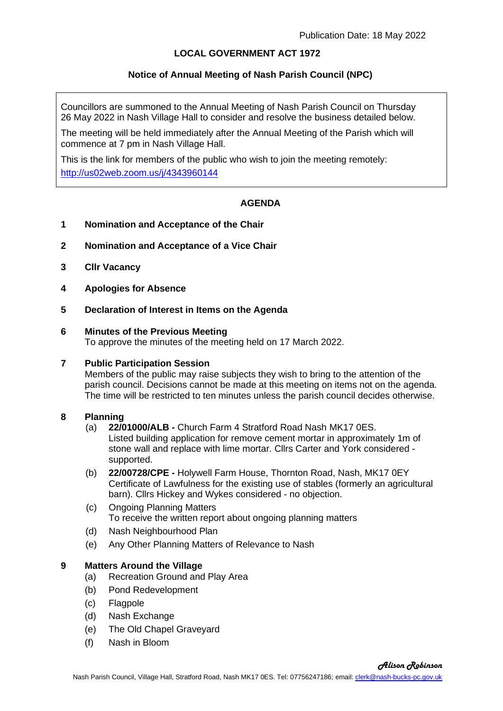## **LOCAL GOVERNMENT ACT 1972**

## **Notice of Annual Meeting of Nash Parish Council (NPC)**

Councillors are summoned to the Annual Meeting of Nash Parish Council on Thursday 26 May 2022 in Nash Village Hall to consider and resolve the business detailed below.

The meeting will be held immediately after the Annual Meeting of the Parish which will commence at 7 pm in Nash Village Hall.

This is the link for members of the public who wish to join the meeting remotely: <http://us02web.zoom.us/j/4343960144>

# **AGENDA**

- **1 Nomination and Acceptance of the Chair**
- **2 Nomination and Acceptance of a Vice Chair**
- **3 Cllr Vacancy**
- **4 Apologies for Absence**
- **5 Declaration of Interest in Items on the Agenda**

#### **6 Minutes of the Previous Meeting**

To approve the minutes of the meeting held on 17 March 2022.

#### **7 Public Participation Session**

Members of the public may raise subjects they wish to bring to the attention of the parish council. Decisions cannot be made at this meeting on items not on the agenda. The time will be restricted to ten minutes unless the parish council decides otherwise.

#### **8 Planning**

- (a) **22/01000/ALB -** Church Farm 4 Stratford Road Nash MK17 0ES. Listed building application for remove cement mortar in approximately 1m of stone wall and replace with lime mortar. Cllrs Carter and York considered supported.
- (b) **22/00728/CPE -** Holywell Farm House, Thornton Road, Nash, MK17 0EY Certificate of Lawfulness for the existing use of stables (formerly an agricultural barn). Cllrs Hickey and Wykes considered - no objection.
- (c) Ongoing Planning Matters To receive the written report about ongoing planning matters
- (d) Nash Neighbourhood Plan
- (e) Any Other Planning Matters of Relevance to Nash

## **9 Matters Around the Village**

- (a) Recreation Ground and Play Area
- (b) Pond Redevelopment
- (c) Flagpole
- (d) Nash Exchange
- (e) The Old Chapel Graveyard
- (f) Nash in Bloom

*Alison Robinson*